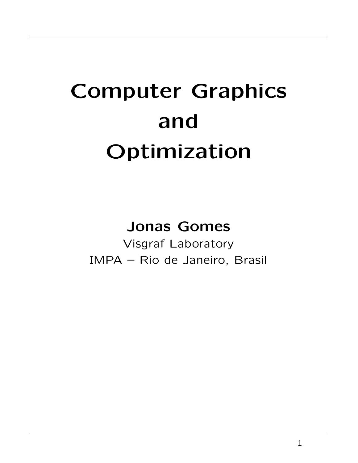# **Computer Graphics and Optimization**

#### **Jonas Gomes**

Visgraf Laboratory IMPA – Rio de Janeiro, Brasil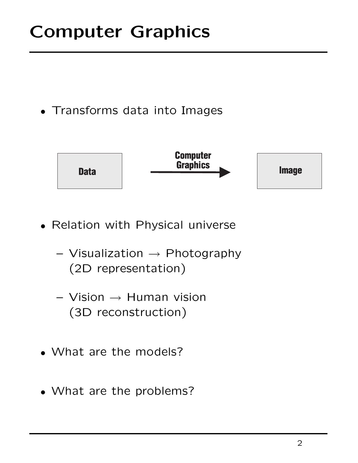### **Computer Graphics**

• Transforms data into Images



- Relation with Physical universe
	- **–** Visualization → Photography (2D representation)
	- **–** Vision → Human vision (3D reconstruction)
- What are the models?
- What are the problems?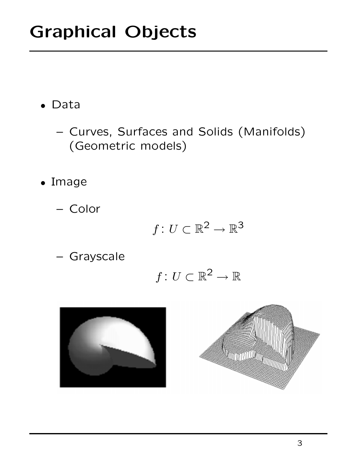- Data
	- **–** Curves, Surfaces and Solids (Manifolds) (Geometric models)
- Image
	- **–** Color

$$
f\colon U\subset\mathbb{R}^2\to\mathbb{R}^3
$$

**–** Grayscale

$$
f\colon U\subset\mathbb{R}^2\to\mathbb{R}
$$



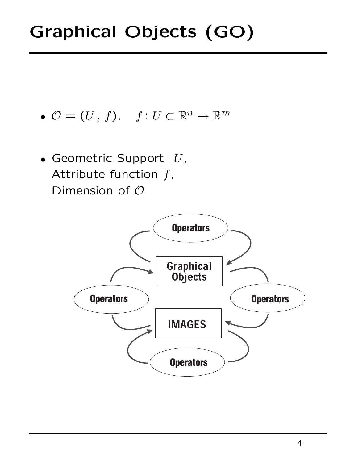- $\mathcal{O} = (U, f), \quad f : U \subset \mathbb{R}^n \to \mathbb{R}^m$
- Geometric Support  $U$ , Attribute function  $f$ , Dimension of  $O$

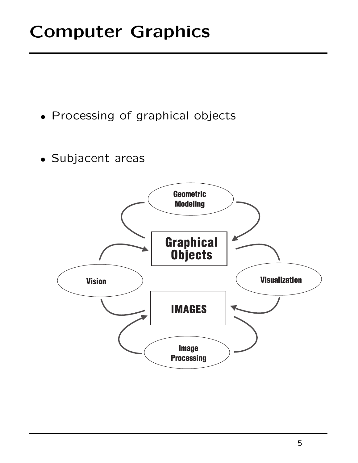### **Computer Graphics**

- Processing of graphical objects
- Subjacent areas

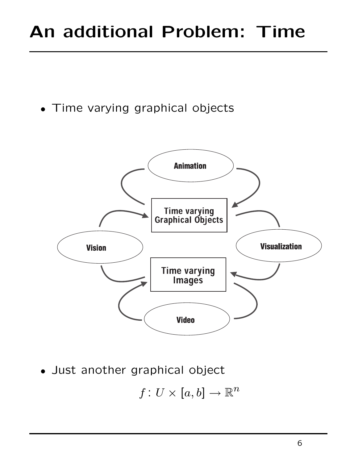### **An additional Problem: Time**

• Time varying graphical objects



• Just another graphical object

$$
f\colon U\times[a,b]\to\mathbb{R}^n
$$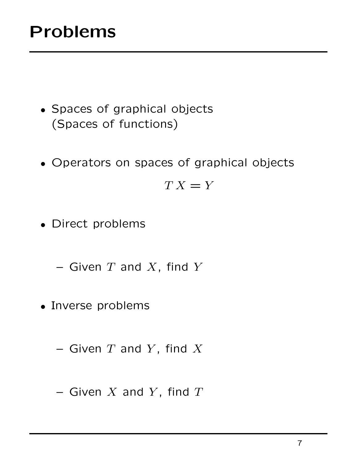### **Problems**

- Spaces of graphical objects (Spaces of functions)
- Operators on spaces of graphical objects

 $TX = Y$ 

• Direct problems

 $-$  Given  $T$  and  $X$ , find  $Y$ 

- Inverse problems
	- $-$  Given  $T$  and  $Y$ , find  $X$
	- **–** Given X and Y , find T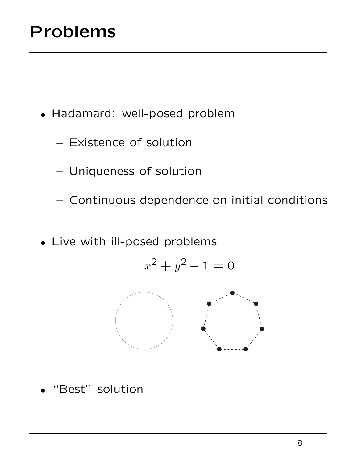- Hadamard: well-posed problem
	- **–** Existence of solution
	- **–** Uniqueness of solution
	- **–** Continuous dependence on initial conditions
- Live with ill-posed problems

$$
x^2 + y^2 - 1 = 0
$$



"Best" solution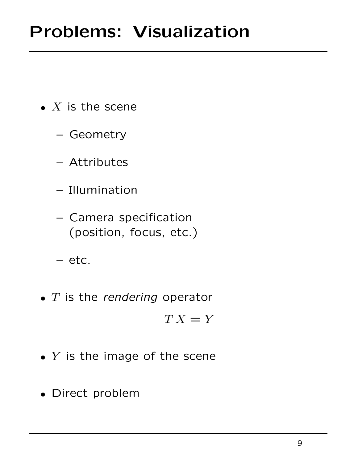- $\bullet$  X is the scene
	- **–** Geometry
	- **–** Attributes
	- **–** Illumination
	- **–** Camera specification (position, focus, etc.)
	- **–** etc.
- $\bullet$  T is the rendering operator

 $TX = Y$ 

- $\bullet$  Y is the image of the scene
- Direct problem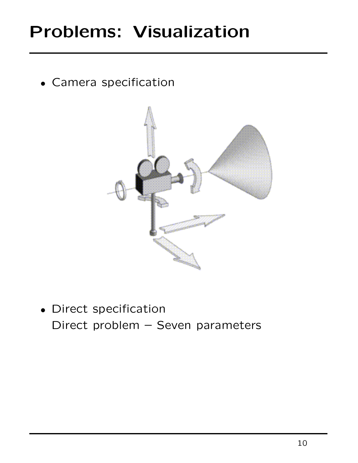### **Problems: Visualization**

• Camera specification



• Direct specification Direct problem – Seven parameters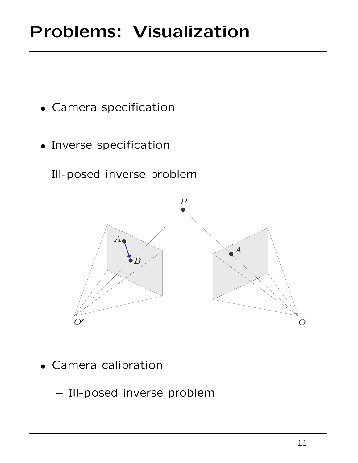- Camera specification
- Inverse specification

Ill-posed inverse problem



• Camera calibration

**–** Ill-posed inverse problem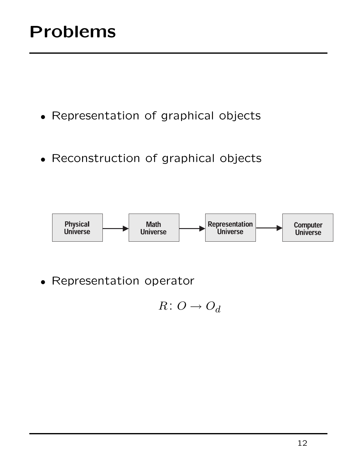### **Problems**

- Representation of graphical objects
- Reconstruction of graphical objects



• Representation operator

$$
R\colon O\to O_d
$$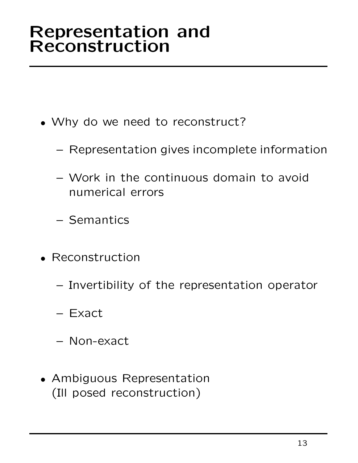#### **Representation and Reconstruction**

- Why do we need to reconstruct?
	- **–** Representation gives incomplete information
	- **–** Work in the continuous domain to avoid numerical errors
	- **–** Semantics
- Reconstruction
	- **–** Invertibility of the representation operator
	- **–** Exact
	- **–** Non-exact
- Ambiguous Representation (Ill posed reconstruction)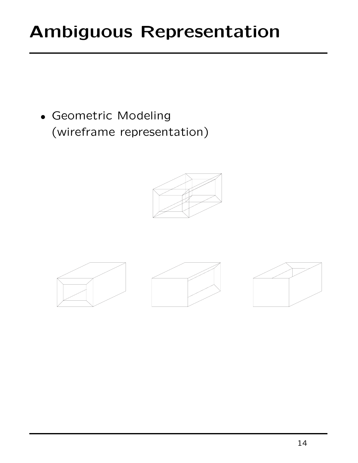### **Ambiguous Representation**

• Geometric Modeling (wireframe representation)







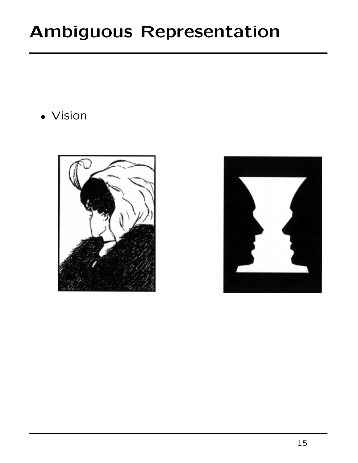### **Ambiguous Representation**

• Vision



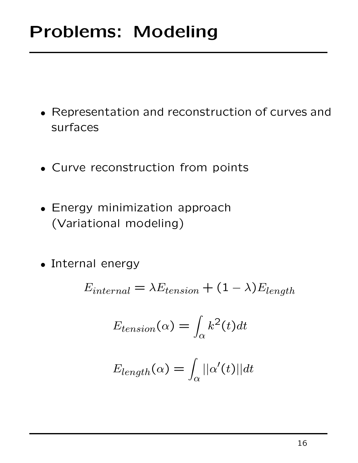- Representation and reconstruction of curves and surfaces
- Curve reconstruction from points
- Energy minimization approach (Variational modeling)
- Internal energy

$$
E_{internal} = \lambda E_{tension} + (1 - \lambda)E_{length}
$$

$$
E_{tension}(\alpha) = \int_{\alpha} k^2(t)dt
$$

$$
E_{length}(\alpha) = \int_{\alpha} ||\alpha'(t)||dt
$$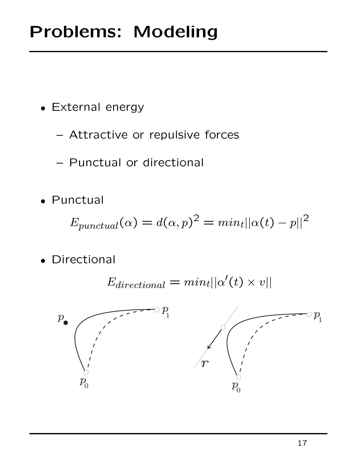- External energy
	- **–** Attractive or repulsive forces
	- **–** Punctual or directional
- Punctual

$$
E_{punctual}(\alpha) = d(\alpha, p)^2 = min_t ||\alpha(t) - p||^2
$$

• Directional

$$
E_{directional} = min_t ||\alpha'(t) \times v||
$$

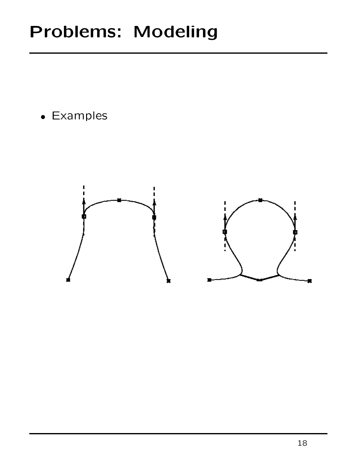• Examples

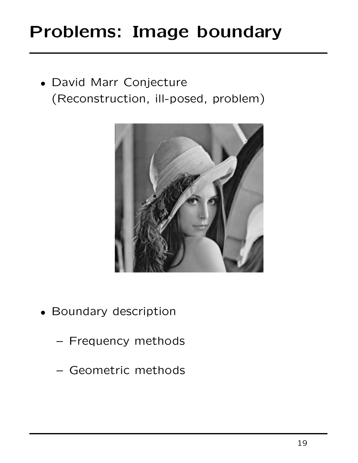### **Problems: Image boundary**

• David Marr Conjecture (Reconstruction, ill-posed, problem)



- Boundary description
	- **–** Frequency methods
	- **–** Geometric methods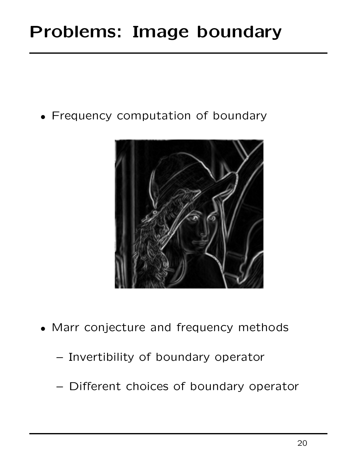### **Problems: Image boundary**

• Frequency computation of boundary



- Marr conjecture and frequency methods
	- **–** Invertibility of boundary operator
	- **–** Different choices of boundary operator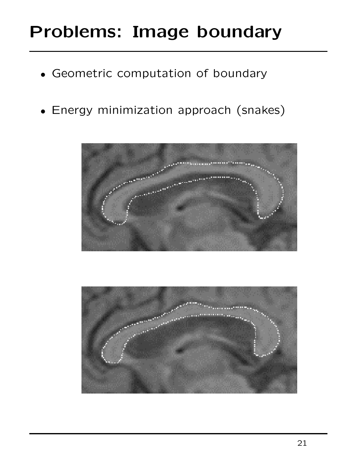### **Problems: Image boundary**

- Geometric computation of boundary
- Energy minimization approach (snakes)